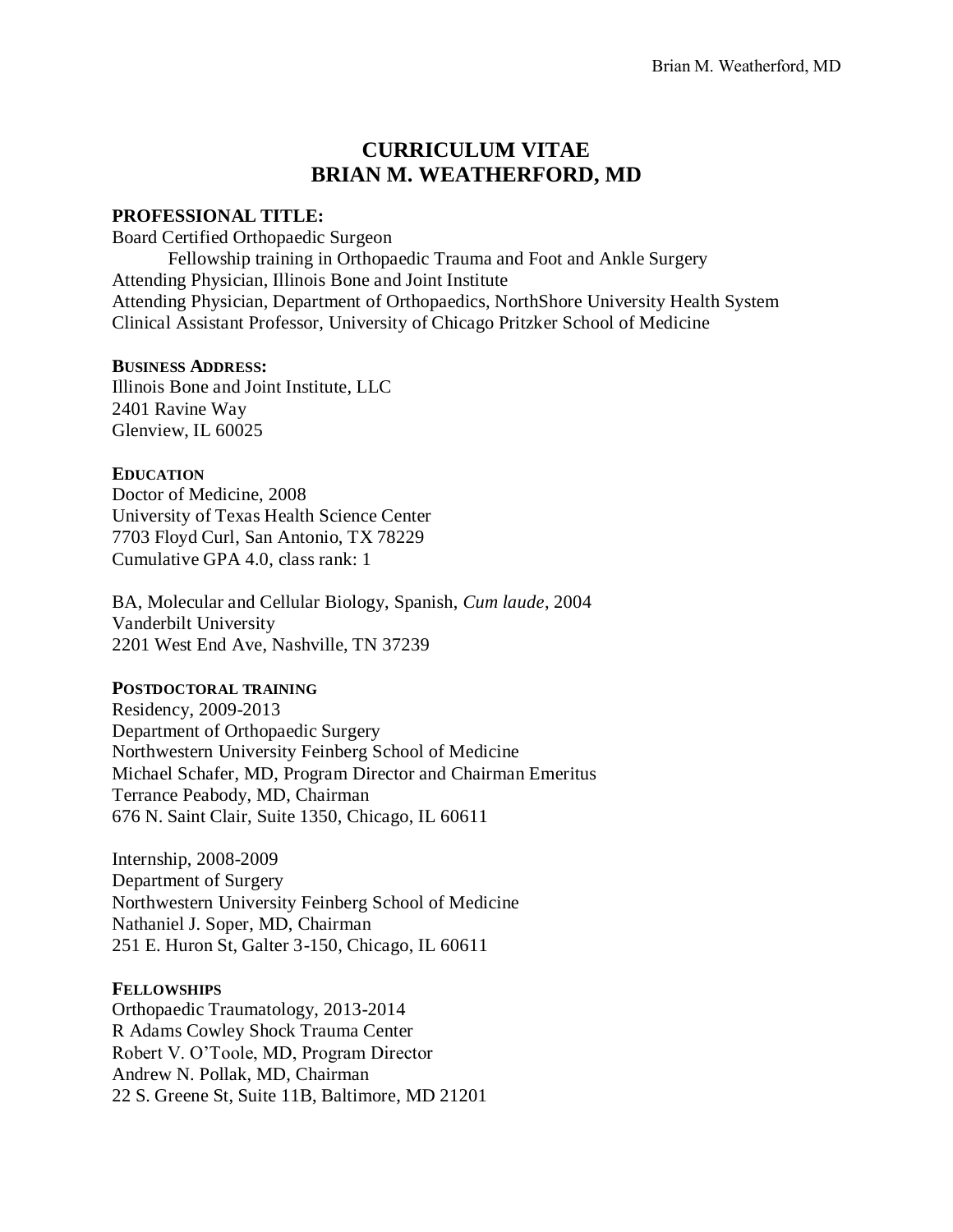# **CURRICULUM VITAE BRIAN M. WEATHERFORD, MD**

# **PROFESSIONAL TITLE:**

Board Certified Orthopaedic Surgeon

Fellowship training in Orthopaedic Trauma and Foot and Ankle Surgery Attending Physician, Illinois Bone and Joint Institute Attending Physician, Department of Orthopaedics, NorthShore University Health System Clinical Assistant Professor, University of Chicago Pritzker School of Medicine

# **BUSINESS ADDRESS:**

Illinois Bone and Joint Institute, LLC 2401 Ravine Way Glenview, IL 60025

# **EDUCATION**

Doctor of Medicine, 2008 University of Texas Health Science Center 7703 Floyd Curl, San Antonio, TX 78229 Cumulative GPA 4.0, class rank: 1

BA, Molecular and Cellular Biology, Spanish, *Cum laude*, 2004 Vanderbilt University 2201 West End Ave, Nashville, TN 37239

# **POSTDOCTORAL TRAINING**

Residency, 2009-2013 Department of Orthopaedic Surgery Northwestern University Feinberg School of Medicine Michael Schafer, MD, Program Director and Chairman Emeritus Terrance Peabody, MD, Chairman 676 N. Saint Clair, Suite 1350, Chicago, IL 60611

Internship, 2008-2009 Department of Surgery Northwestern University Feinberg School of Medicine Nathaniel J. Soper, MD, Chairman 251 E. Huron St, Galter 3-150, Chicago, IL 60611

# **FELLOWSHIPS**

Orthopaedic Traumatology, 2013-2014 R Adams Cowley Shock Trauma Center Robert V. O'Toole, MD, Program Director Andrew N. Pollak, MD, Chairman 22 S. Greene St, Suite 11B, Baltimore, MD 21201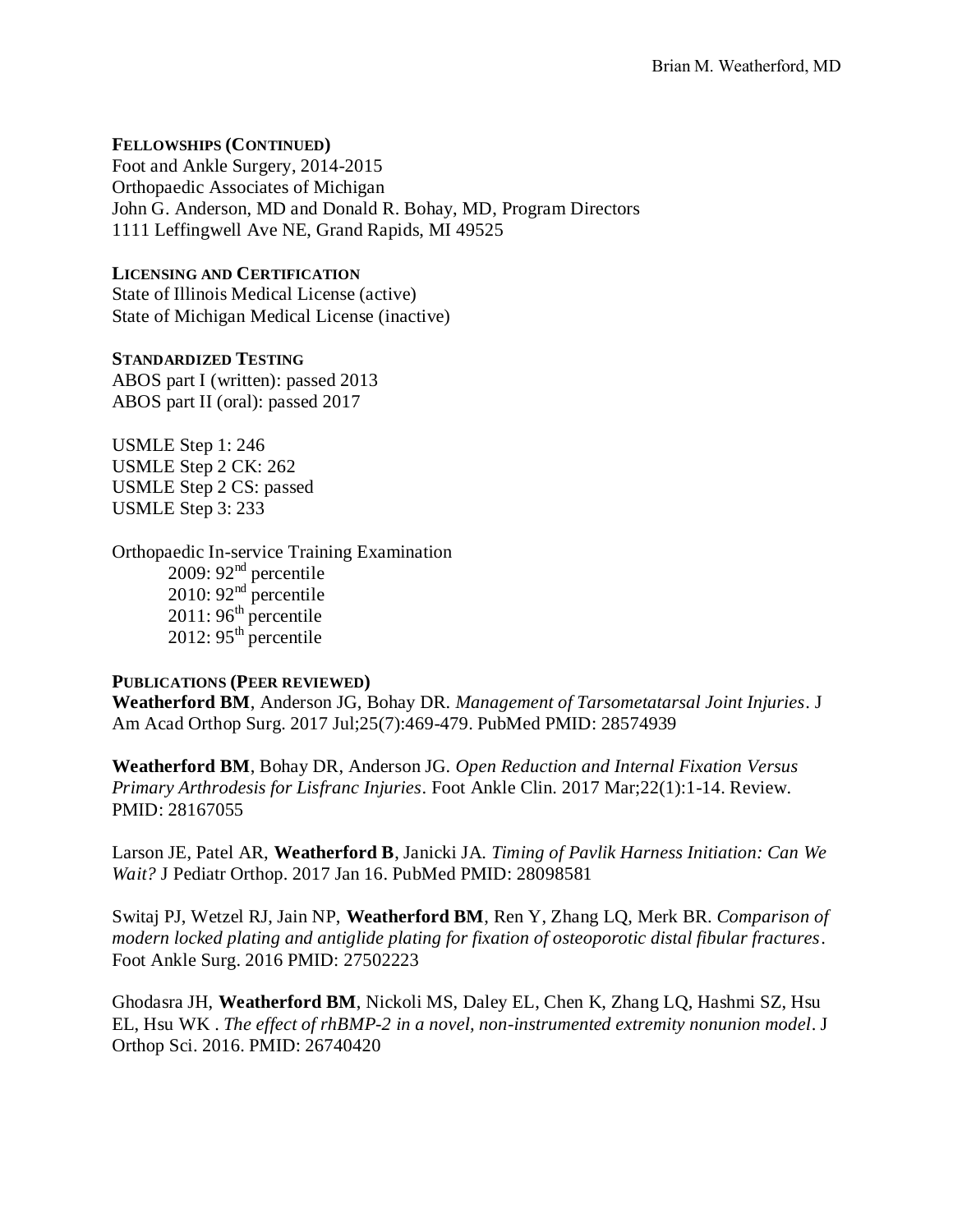# **FELLOWSHIPS (CONTINUED)**

Foot and Ankle Surgery, 2014-2015 Orthopaedic Associates of Michigan John G. Anderson, MD and Donald R. Bohay, MD, Program Directors 1111 Leffingwell Ave NE, Grand Rapids, MI 49525

# **LICENSING AND CERTIFICATION**

State of Illinois Medical License (active) State of Michigan Medical License (inactive)

### **STANDARDIZED TESTING** ABOS part I (written): passed 2013

ABOS part II (oral): passed 2017

USMLE Step 1: 246 USMLE Step 2 CK: 262 USMLE Step 2 CS: passed USMLE Step 3: 233

Orthopaedic In-service Training Examination 2009: 92<sup>nd</sup> percentile 2010: 92 $^{\text{nd}}$  percentile  $2011:96<sup>th</sup>$  percentile 2012: 95<sup>th</sup> percentile

# **PUBLICATIONS (PEER REVIEWED)**

**Weatherford BM**, Anderson JG, Bohay DR. *Management of Tarsometatarsal Joint Injuries*. J Am Acad Orthop Surg. 2017 Jul;25(7):469-479. PubMed PMID: 28574939

**Weatherford BM**, Bohay DR, Anderson JG. *Open Reduction and Internal Fixation Versus Primary Arthrodesis for Lisfranc Injuries*. Foot Ankle Clin. 2017 Mar;22(1):1-14. Review. PMID: 28167055

Larson JE, Patel AR, **Weatherford B**, Janicki JA. *Timing of Pavlik Harness Initiation: Can We Wait?* J Pediatr Orthop. 2017 Jan 16. PubMed PMID: 28098581

Switaj PJ, Wetzel RJ, Jain NP, **Weatherford BM**, Ren Y, Zhang LQ, Merk BR. *Comparison of modern locked plating and antiglide plating for fixation of osteoporotic distal fibular fractures*. Foot Ankle Surg. 2016 PMID: 27502223

Ghodasra JH, **Weatherford BM**, Nickoli MS, Daley EL, Chen K, Zhang LQ, Hashmi SZ, Hsu EL, Hsu WK . *The effect of rhBMP-2 in a novel, non-instrumented extremity nonunion model*. J Orthop Sci. 2016. PMID: 26740420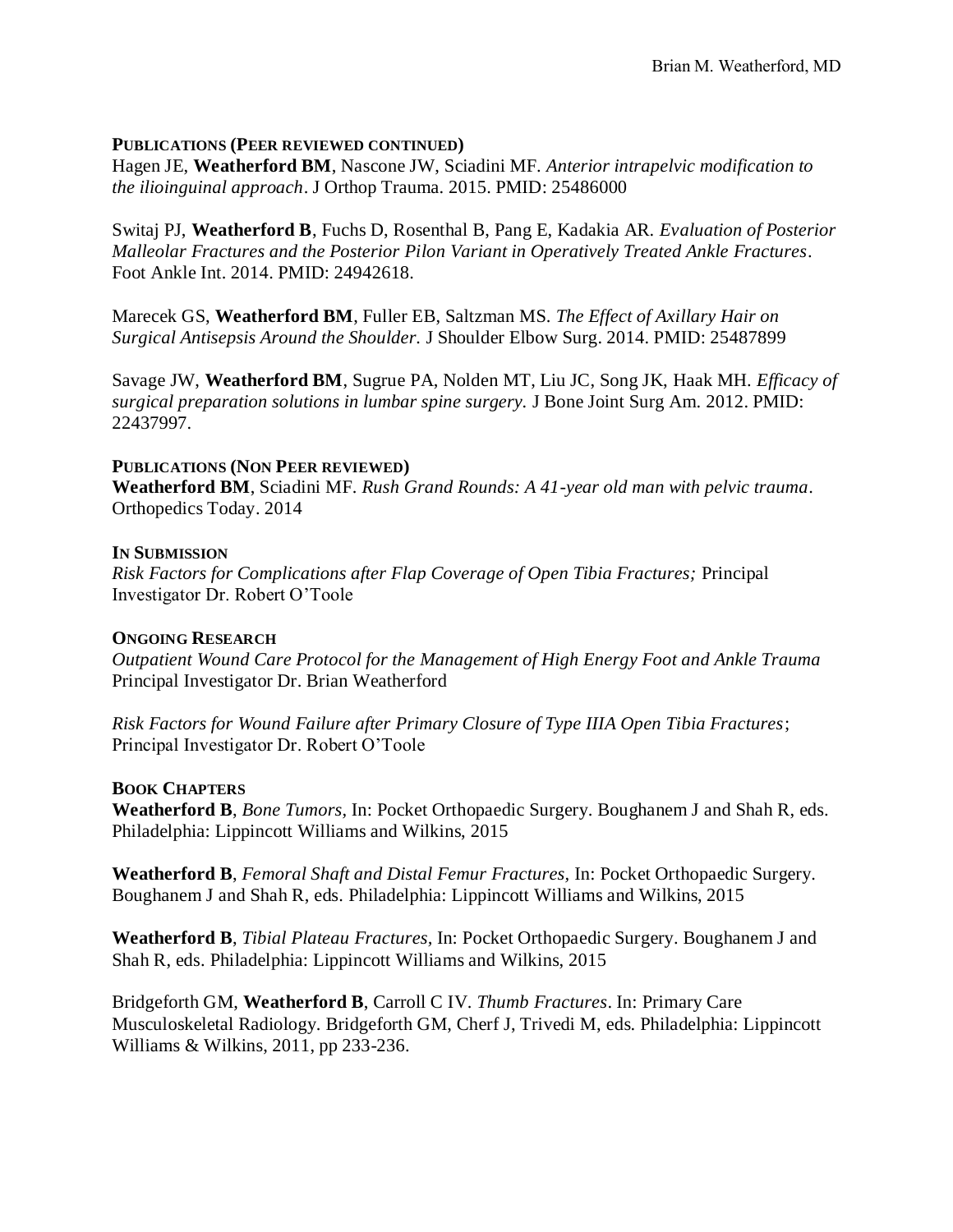### **PUBLICATIONS (PEER REVIEWED CONTINUED)**

Hagen JE, **Weatherford BM**, Nascone JW, Sciadini MF. *Anterior intrapelvic modification to the ilioinguinal approach*. J Orthop Trauma. 2015. PMID: 25486000

Switaj PJ, **Weatherford B**, Fuchs D, Rosenthal B, Pang E, Kadakia AR. *Evaluation of Posterior Malleolar Fractures and the Posterior Pilon Variant in Operatively Treated Ankle Fractures*. Foot Ankle Int. 2014. PMID: 24942618.

Marecek GS, **Weatherford BM**, Fuller EB, Saltzman MS. *The Effect of Axillary Hair on Surgical Antisepsis Around the Shoulder.* J Shoulder Elbow Surg. 2014. PMID: 25487899

Savage JW, **Weatherford BM**, Sugrue PA, Nolden MT, Liu JC, Song JK, Haak MH. *Efficacy of surgical preparation solutions in lumbar spine surgery.* J Bone Joint Surg Am. 2012. PMID: 22437997.

### **PUBLICATIONS (NON PEER REVIEWED)**

**Weatherford BM**, Sciadini MF. *Rush Grand Rounds: A 41-year old man with pelvic trauma*. Orthopedics Today. 2014

### **IN SUBMISSION**

*Risk Factors for Complications after Flap Coverage of Open Tibia Fractures;* Principal Investigator Dr. Robert O'Toole

# **ONGOING RESEARCH**

*Outpatient Wound Care Protocol for the Management of High Energy Foot and Ankle Trauma* Principal Investigator Dr. Brian Weatherford

*Risk Factors for Wound Failure after Primary Closure of Type IIIA Open Tibia Fractures*; Principal Investigator Dr. Robert O'Toole

# **BOOK CHAPTERS**

**Weatherford B**, *Bone Tumors,* In: Pocket Orthopaedic Surgery. Boughanem J and Shah R, eds. Philadelphia: Lippincott Williams and Wilkins, 2015

**Weatherford B**, *Femoral Shaft and Distal Femur Fractures,* In: Pocket Orthopaedic Surgery. Boughanem J and Shah R, eds. Philadelphia: Lippincott Williams and Wilkins, 2015

**Weatherford B**, *Tibial Plateau Fractures,* In: Pocket Orthopaedic Surgery. Boughanem J and Shah R, eds. Philadelphia: Lippincott Williams and Wilkins, 2015

Bridgeforth GM, **Weatherford B**, Carroll C IV. *Thumb Fractures*. In: Primary Care Musculoskeletal Radiology. Bridgeforth GM, Cherf J, Trivedi M, eds. Philadelphia: Lippincott Williams & Wilkins, 2011, pp 233-236.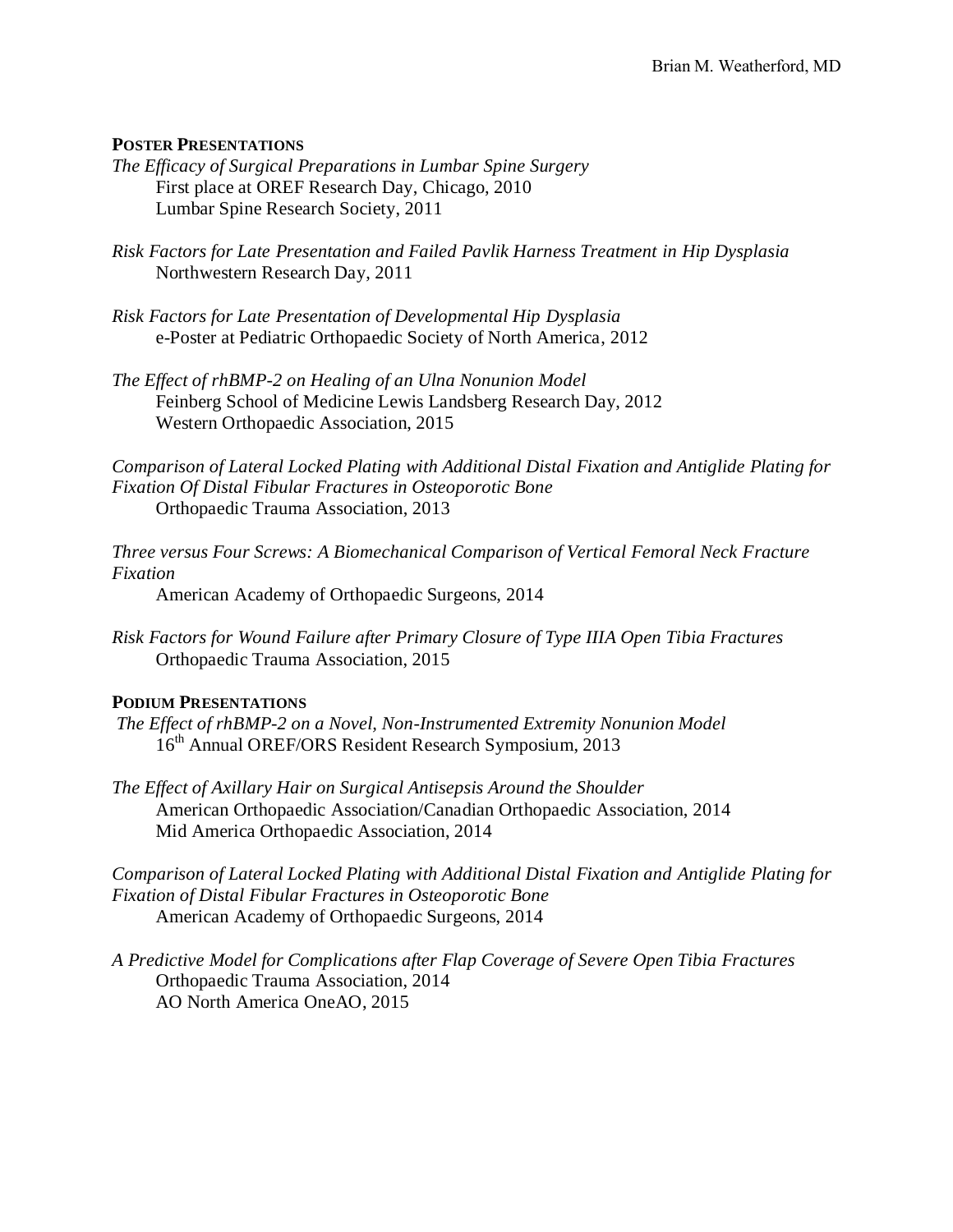# **POSTER PRESENTATIONS**

- *The Efficacy of Surgical Preparations in Lumbar Spine Surgery* First place at OREF Research Day, Chicago, 2010 Lumbar Spine Research Society, 2011
- *Risk Factors for Late Presentation and Failed Pavlik Harness Treatment in Hip Dysplasia* Northwestern Research Day, 2011
- *Risk Factors for Late Presentation of Developmental Hip Dysplasia* e-Poster at Pediatric Orthopaedic Society of North America, 2012
- *The Effect of rhBMP-2 on Healing of an Ulna Nonunion Model* Feinberg School of Medicine Lewis Landsberg Research Day, 2012 Western Orthopaedic Association, 2015

*Comparison of Lateral Locked Plating with Additional Distal Fixation and Antiglide Plating for Fixation Of Distal Fibular Fractures in Osteoporotic Bone* Orthopaedic Trauma Association, 2013

*Three versus Four Screws: A Biomechanical Comparison of Vertical Femoral Neck Fracture Fixation*

American Academy of Orthopaedic Surgeons, 2014

*Risk Factors for Wound Failure after Primary Closure of Type IIIA Open Tibia Fractures* Orthopaedic Trauma Association, 2015

# **PODIUM PRESENTATIONS**

- *The Effect of rhBMP-2 on a Novel, Non-Instrumented Extremity Nonunion Model* 16<sup>th</sup> Annual OREF/ORS Resident Research Symposium, 2013
- *The Effect of Axillary Hair on Surgical Antisepsis Around the Shoulder* American Orthopaedic Association/Canadian Orthopaedic Association, 2014 Mid America Orthopaedic Association, 2014

*Comparison of Lateral Locked Plating with Additional Distal Fixation and Antiglide Plating for Fixation of Distal Fibular Fractures in Osteoporotic Bone* American Academy of Orthopaedic Surgeons, 2014

*A Predictive Model for Complications after Flap Coverage of Severe Open Tibia Fractures* Orthopaedic Trauma Association, 2014 AO North America OneAO, 2015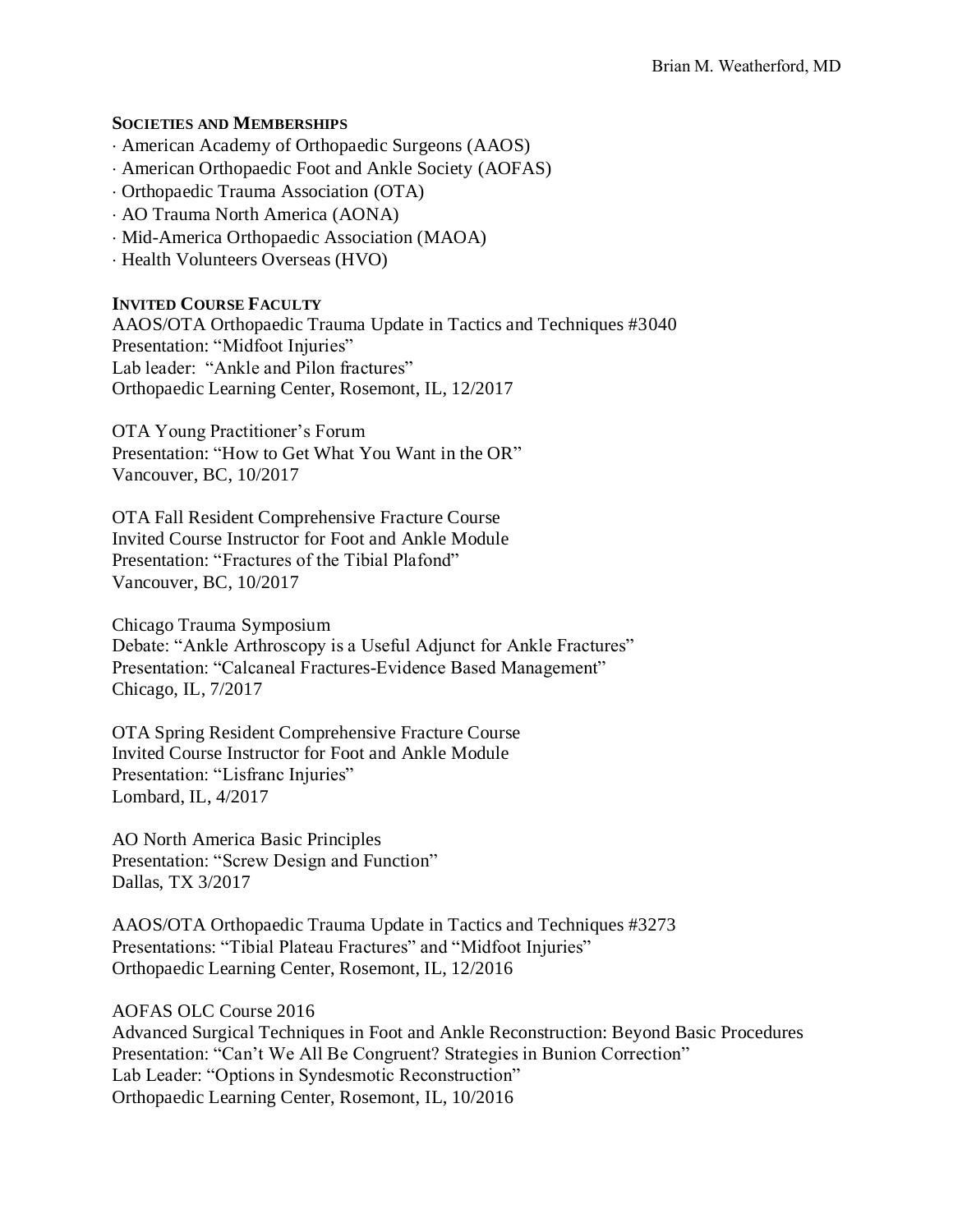# **SOCIETIES AND MEMBERSHIPS**

- American Academy of Orthopaedic Surgeons (AAOS)
- American Orthopaedic Foot and Ankle Society (AOFAS)
- Orthopaedic Trauma Association (OTA)
- AO Trauma North America (AONA)
- Mid-America Orthopaedic Association (MAOA)
- Health Volunteers Overseas (HVO)

# **INVITED COURSE FACULTY**

AAOS/OTA Orthopaedic Trauma Update in Tactics and Techniques #3040 Presentation: "Midfoot Injuries" Lab leader: "Ankle and Pilon fractures" Orthopaedic Learning Center, Rosemont, IL, 12/2017

OTA Young Practitioner's Forum Presentation: "How to Get What You Want in the OR" Vancouver, BC, 10/2017

OTA Fall Resident Comprehensive Fracture Course Invited Course Instructor for Foot and Ankle Module Presentation: "Fractures of the Tibial Plafond" Vancouver, BC, 10/2017

Chicago Trauma Symposium Debate: "Ankle Arthroscopy is a Useful Adjunct for Ankle Fractures" Presentation: "Calcaneal Fractures-Evidence Based Management" Chicago, IL, 7/2017

OTA Spring Resident Comprehensive Fracture Course Invited Course Instructor for Foot and Ankle Module Presentation: "Lisfranc Injuries" Lombard, IL, 4/2017

AO North America Basic Principles Presentation: "Screw Design and Function" Dallas, TX 3/2017

AAOS/OTA Orthopaedic Trauma Update in Tactics and Techniques #3273 Presentations: "Tibial Plateau Fractures" and "Midfoot Injuries" Orthopaedic Learning Center, Rosemont, IL, 12/2016

AOFAS OLC Course 2016

Advanced Surgical Techniques in Foot and Ankle Reconstruction: Beyond Basic Procedures Presentation: "Can't We All Be Congruent? Strategies in Bunion Correction" Lab Leader: "Options in Syndesmotic Reconstruction" Orthopaedic Learning Center, Rosemont, IL, 10/2016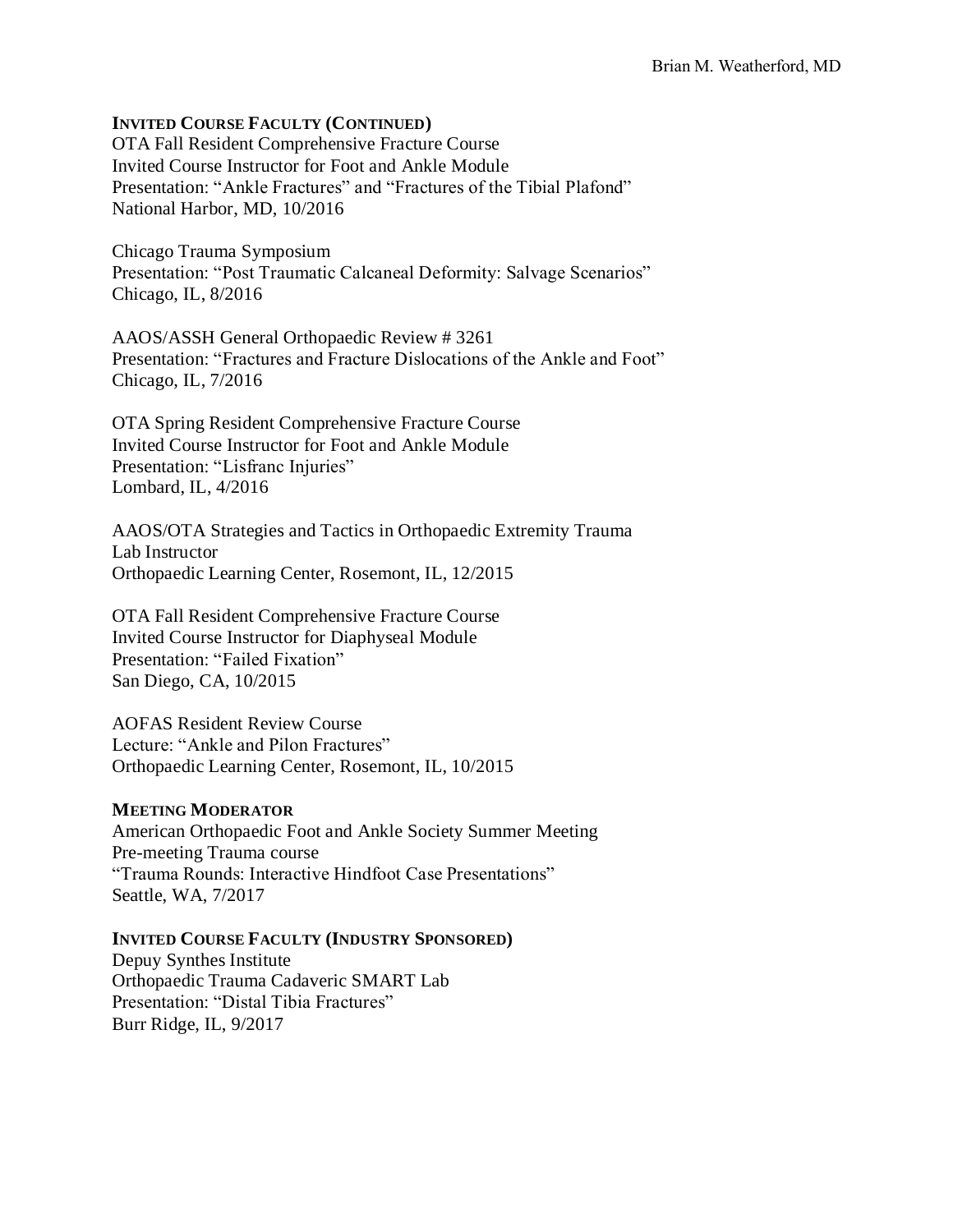# **INVITED COURSE FACULTY (CONTINUED)**

OTA Fall Resident Comprehensive Fracture Course Invited Course Instructor for Foot and Ankle Module Presentation: "Ankle Fractures" and "Fractures of the Tibial Plafond" National Harbor, MD, 10/2016

Chicago Trauma Symposium Presentation: "Post Traumatic Calcaneal Deformity: Salvage Scenarios" Chicago, IL, 8/2016

AAOS/ASSH General Orthopaedic Review # 3261 Presentation: "Fractures and Fracture Dislocations of the Ankle and Foot" Chicago, IL, 7/2016

OTA Spring Resident Comprehensive Fracture Course Invited Course Instructor for Foot and Ankle Module Presentation: "Lisfranc Injuries" Lombard, IL, 4/2016

AAOS/OTA Strategies and Tactics in Orthopaedic Extremity Trauma Lab Instructor Orthopaedic Learning Center, Rosemont, IL, 12/2015

OTA Fall Resident Comprehensive Fracture Course Invited Course Instructor for Diaphyseal Module Presentation: "Failed Fixation" San Diego, CA, 10/2015

AOFAS Resident Review Course Lecture: "Ankle and Pilon Fractures" Orthopaedic Learning Center, Rosemont, IL, 10/2015

# **MEETING MODERATOR**

American Orthopaedic Foot and Ankle Society Summer Meeting Pre-meeting Trauma course "Trauma Rounds: Interactive Hindfoot Case Presentations" Seattle, WA, 7/2017

#### **INVITED COURSE FACULTY (INDUSTRY SPONSORED)**

Depuy Synthes Institute Orthopaedic Trauma Cadaveric SMART Lab Presentation: "Distal Tibia Fractures" Burr Ridge, IL, 9/2017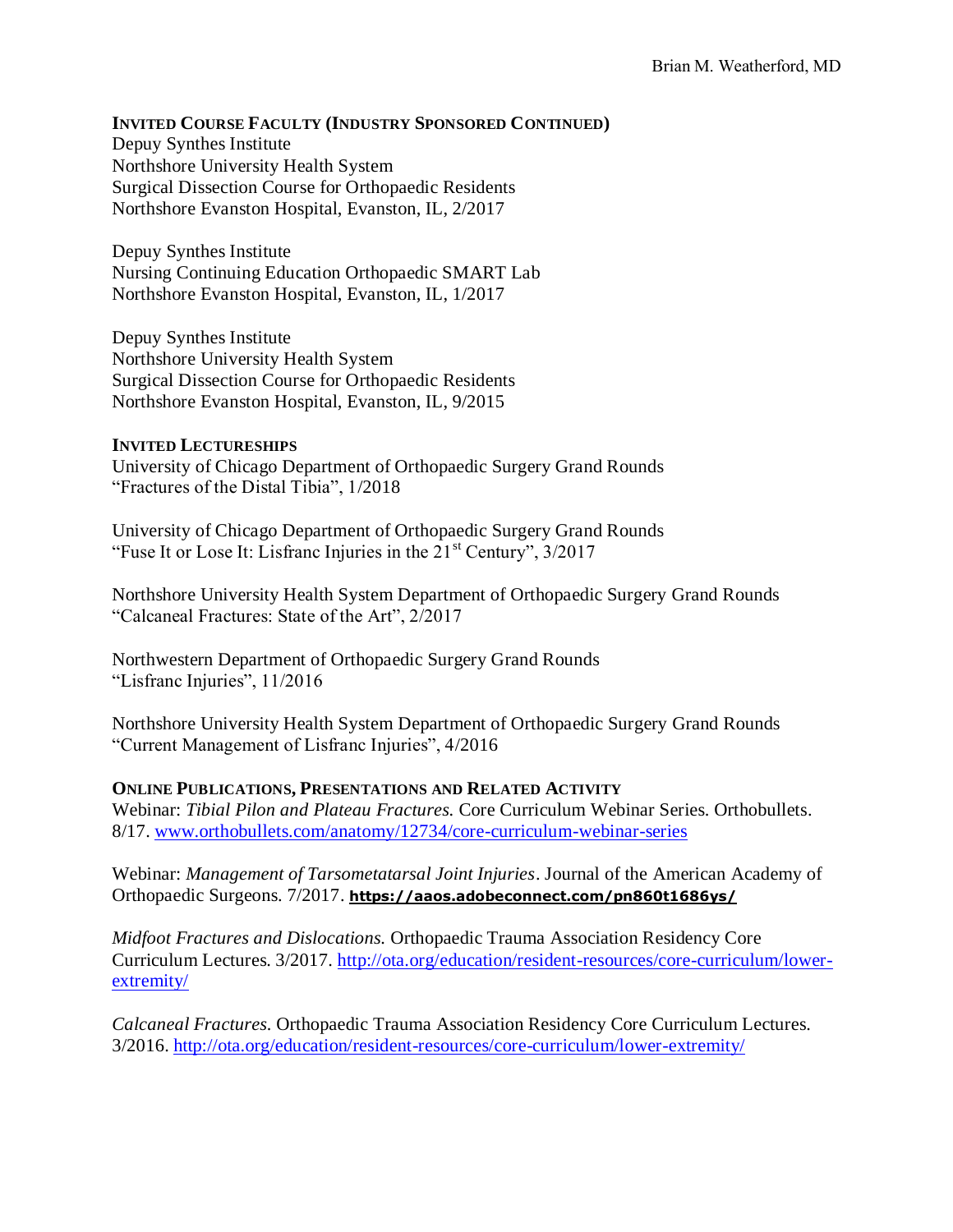# **INVITED COURSE FACULTY (INDUSTRY SPONSORED CONTINUED)**

Depuy Synthes Institute Northshore University Health System Surgical Dissection Course for Orthopaedic Residents Northshore Evanston Hospital, Evanston, IL, 2/2017

Depuy Synthes Institute Nursing Continuing Education Orthopaedic SMART Lab Northshore Evanston Hospital, Evanston, IL, 1/2017

Depuy Synthes Institute Northshore University Health System Surgical Dissection Course for Orthopaedic Residents Northshore Evanston Hospital, Evanston, IL, 9/2015

# **INVITED LECTURESHIPS**

University of Chicago Department of Orthopaedic Surgery Grand Rounds "Fractures of the Distal Tibia", 1/2018

University of Chicago Department of Orthopaedic Surgery Grand Rounds "Fuse It or Lose It: Lisfranc Injuries in the 21<sup>st</sup> Century", 3/2017

Northshore University Health System Department of Orthopaedic Surgery Grand Rounds "Calcaneal Fractures: State of the Art", 2/2017

Northwestern Department of Orthopaedic Surgery Grand Rounds "Lisfranc Injuries", 11/2016

Northshore University Health System Department of Orthopaedic Surgery Grand Rounds "Current Management of Lisfranc Injuries", 4/2016

# **ONLINE PUBLICATIONS, PRESENTATIONS AND RELATED ACTIVITY**

Webinar: *Tibial Pilon and Plateau Fractures.* Core Curriculum Webinar Series. Orthobullets. 8/17. [www.orthobullets.com/anatomy/12734/core-curriculum-webinar-series](http://www.orthobullets.com/anatomy/12734/core-curriculum-webinar-series)

Webinar: *Management of Tarsometatarsal Joint Injuries*. Journal of the American Academy of Orthopaedic Surgeons. 7/2017. **[https://aaos.adobeconnect.com/pn860t1686ys/](https://aaos.adobeconnect.com/pn860t1686ys/?OWASP_CSRFTOKEN=d18e3bafe0dc87c03f63b419575aa382f190e175e5292cf996692d41a175a8b7)**

*Midfoot Fractures and Dislocations.* Orthopaedic Trauma Association Residency Core Curriculum Lectures. 3/2017. [http://ota.org/education/resident-resources/core-curriculum/lower](http://ota.org/education/resident-resources/core-curriculum/lower-extremity/)[extremity/](http://ota.org/education/resident-resources/core-curriculum/lower-extremity/)

*Calcaneal Fractures.* Orthopaedic Trauma Association Residency Core Curriculum Lectures. 3/2016.<http://ota.org/education/resident-resources/core-curriculum/lower-extremity/>